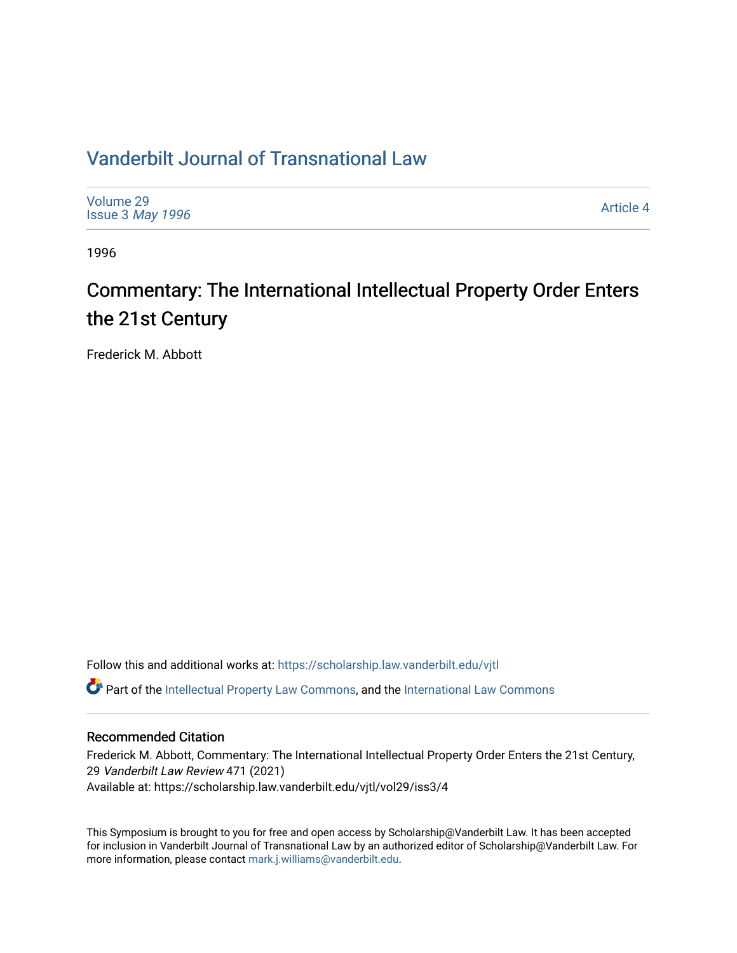# [Vanderbilt Journal of Transnational Law](https://scholarship.law.vanderbilt.edu/vjtl)

| Volume 29<br>Issue 3 May 1996 | Article 4 |
|-------------------------------|-----------|
|                               |           |

1996

# Commentary: The International Intellectual Property Order Enters the 21st Century

Frederick M. Abbott

Follow this and additional works at: [https://scholarship.law.vanderbilt.edu/vjtl](https://scholarship.law.vanderbilt.edu/vjtl?utm_source=scholarship.law.vanderbilt.edu%2Fvjtl%2Fvol29%2Fiss3%2F4&utm_medium=PDF&utm_campaign=PDFCoverPages)   $\bullet$  Part of the [Intellectual Property Law Commons,](http://network.bepress.com/hgg/discipline/896?utm_source=scholarship.law.vanderbilt.edu%2Fvjtl%2Fvol29%2Fiss3%2F4&utm_medium=PDF&utm_campaign=PDFCoverPages) and the [International Law Commons](http://network.bepress.com/hgg/discipline/609?utm_source=scholarship.law.vanderbilt.edu%2Fvjtl%2Fvol29%2Fiss3%2F4&utm_medium=PDF&utm_campaign=PDFCoverPages)

## Recommended Citation

Frederick M. Abbott, Commentary: The International Intellectual Property Order Enters the 21st Century, 29 Vanderbilt Law Review 471 (2021) Available at: https://scholarship.law.vanderbilt.edu/vjtl/vol29/iss3/4

This Symposium is brought to you for free and open access by Scholarship@Vanderbilt Law. It has been accepted for inclusion in Vanderbilt Journal of Transnational Law by an authorized editor of Scholarship@Vanderbilt Law. For more information, please contact [mark.j.williams@vanderbilt.edu](mailto:mark.j.williams@vanderbilt.edu).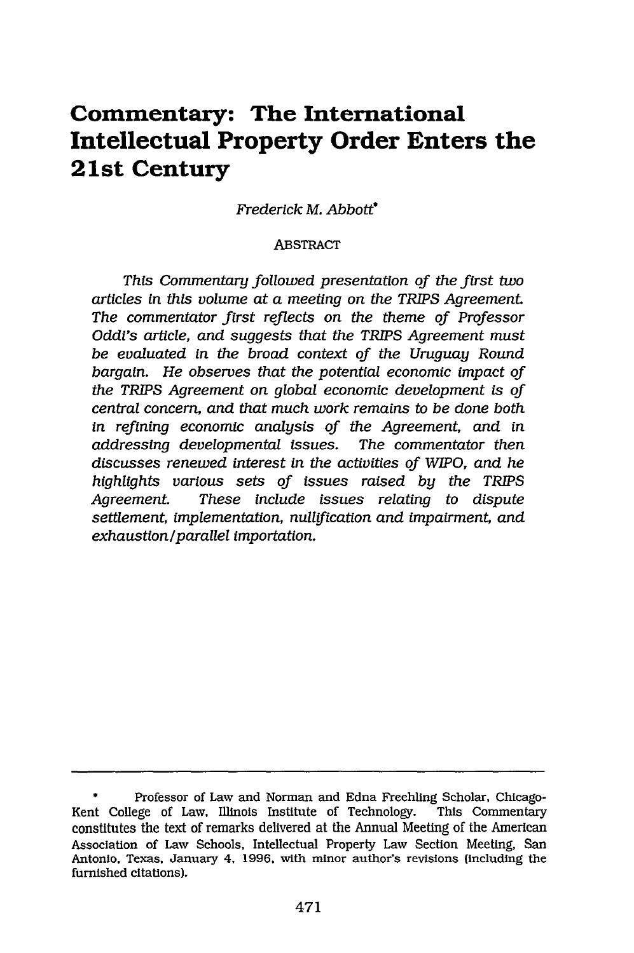## **Commentary: The International Intellectual Property Order Enters the 21st Century**

*Frederick M. Abbott\**

#### ABSTRACT

*This Commentary followed presentation of the first two articles in this volume at a meeting on the TRIPS Agreement The commentator first reflects on the theme of Professor Oddi's article, and suggests that the TRIPS Agreement must be evaluated in the broad context of the Uruguay Round bargain. He observes that the potential economic impact of the TRIPS Agreement on global economic development is of central concern, and that much work remains to be done both in refining economic analysis of the Agreement, and in addressing developmental issues. The commentator then discusses renewed interest in the activities of WIPO, and he highlights various sets of issues raised by the TRIPS Agreement. These Include issues relating to dispute settlement, implementation, nullification and impairment, and exhaustion/parallel importation.*

**<sup>\*</sup>** Professor of Law and Norman and Edna Freehling Scholar, Chicago-Kent College of Law, Illinois Institute of Technology. This Commentary constitutes the text of remarks delivered at the Annual Meeting of the American Association of Law Schools, Intellectual Property Law Section Meeting, San Antonio, Texas, January 4. 1996, with minor author's revisions (including the furnished citations).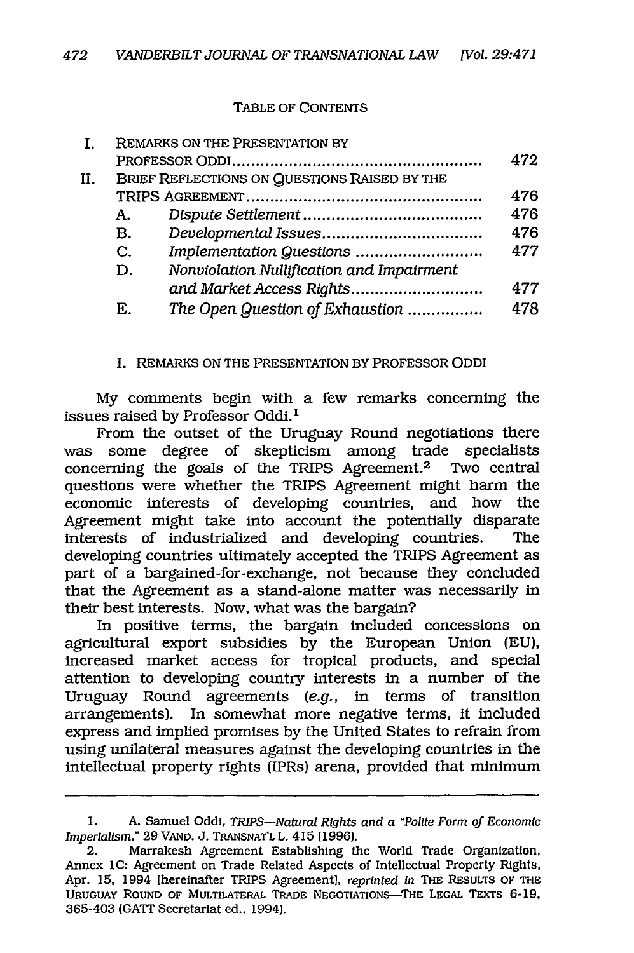#### TABLE OF CONTENTS

|    |              | REMARKS ON THE PRESENTATION BY               |     |
|----|--------------|----------------------------------------------|-----|
|    |              |                                              | 472 |
| Π. |              | BRIEF REFLECTIONS ON QUESTIONS RAISED BY THE |     |
|    |              |                                              | 476 |
|    | А.           |                                              | 476 |
|    | В.           |                                              | 476 |
|    | $\mathbf{C}$ | Implementation Questions                     | 477 |
|    | D.           | Nonviolation Nullification and Impairment    |     |
|    |              | and Market Access Rights                     | 477 |
|    | E.           | The Open Question of Exhaustion              | 478 |

I. REMARKS ON THE PRESENTATION BY PROFESSOR ODDI

My comments begin with a few remarks concerning the issues raised by Professor Oddi.<sup>1</sup>

From the outset of the Uruguay Round negotiations there was some degree of skepticism among trade specialists concerning the goals of the TRIPS Agreement.2 Two central questions were whether the TRIPS Agreement might harm the economic interests of developing countries, and how the Agreement might take into account the potentially disparate interests of industrialized and developing countries. The developing countries ultimately accepted the TRIPS Agreement as part of a bargained-for-exchange, not because they concluded that the Agreement as a stand-alone matter was necessarily in their best interests. Now, what was the bargain?

In positive terms, the bargain included concessions on agricultural export subsidies by the European Union (EU), increased market access for tropical products, and special attention to developing country interests in a number of the Uruguay Round agreements *(e.g.,* in terms of transition arrangements). In somewhat more negative terms, it included express and implied promises by the United States to refrain from using unilateral measures against the developing countries in the intellectual property rights (IPRs) arena, provided that minimum

<sup>1.</sup> A. Samuel Oddi, *TRIPS-Natural Rights and a "Polite Form of Economic Imperialism,"* 29 **VAND.** J. **TRANSNAT'L** L. 415 (1996).

<sup>2.</sup> Marrakesh Agreement Establishing the World Trade Organization, Annex **1C:** Agreement on Trade Related Aspects of Intellectual Property Rights, Apr. 15, 1994 [hereinafter TRIPS Agreement], *reprinted in* THE RESULTS OF THE **URUGUAY** ROUND OF MULTILATERAL TRADE NEGOTIATIONS-THE **LEGAL** TEXTS **6-19,** 365-403 (GATT Secretariat ed.. 1994).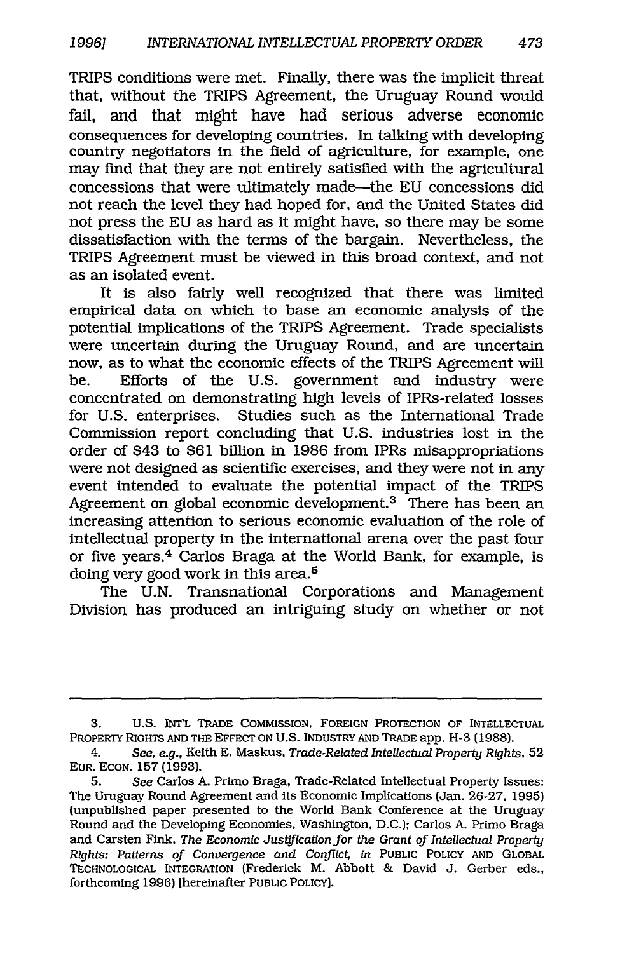TRIPS conditions were met. Finally, there was the implicit threat that, without the TRIPS Agreement, the Uruguay Round would fail, and that might have had serious adverse economic consequences for developing countries. In talking with developing country negotiators in the field of agriculture, for example, one may find that they are not entirely satisfied with the agricultural concessions that were ultimately made-the EU concessions did not reach the level they had hoped for, and the United States did not press the EU as hard as it might have, so there may be some dissatisfaction with the terms of the bargain. Nevertheless, the TRIPS Agreement must be viewed in this broad context, and not as an isolated event.

It is also fairly well recognized that there was limited empirical data on which to base an economic analysis of the potential implications of the TRIPS Agreement. Trade specialists were uncertain during the Uruguay Round, and are uncertain now, as to what the economic effects of the TRIPS Agreement will be. Efforts of the U.S. government and industry were concentrated on demonstrating high levels of IPRs-related losses for U.S. enterprises. Studies such as the International Trade Commission report concluding that U.S. industries lost in the order of \$43 to \$61 billion in 1986 from IPRs misappropriations were not designed as scientific exercises, and they were not in any event intended to evaluate the potential impact of the TRIPS Agreement on global economic development.3 There has been an increasing attention to serious economic evaluation of the role of intellectual property in the international arena over the past four or five years.4 Carlos Braga at the World Bank, for example, is doing very good work in this area.<sup>5</sup>

The U.N. Transnational Corporations and Management Division has produced an intriguing study on whether or not

**<sup>3.</sup>** U.S. **INT'L** TRADE COMMISSION, FOREIGN PROTECTION OF INTELLECTUAL PROPERTY RIGHTS **AND** THE EFFECT **ON U.S.** INDUSTRY **AND** TRADE app. **H-3** (1988).

<sup>4.</sup> See, e.g., Keith E. Maskus, *Trade-Related Intellectual Property Rights,* 52 EUR. **ECON.** 157 (1993).

<sup>5.</sup> *See* Carlos A. Primo Braga, Trade-Related Intellectual Property Issues: The Uruguay Round Agreement and its Economic Implications (Jan. 26-27, 1995) (unpublished paper presented to the World Bank Conference at the Uruguay Round and the Developing Economies, Washington, D.C.); Carlos A. Primo Braga and Carsten Fink, *The Economic Justification for the Grant of Intellectual Property Rights: Patterns of Convergence and Conflict, in* **PUBLIC** POLICY **AND** GLOBAL TECHNOLOGICAL INTEGRATION (Frederick M. Abbott & David **J.** Gerber eds., forthcoming 1996) [hereinafter **PUBLIC** POLICY].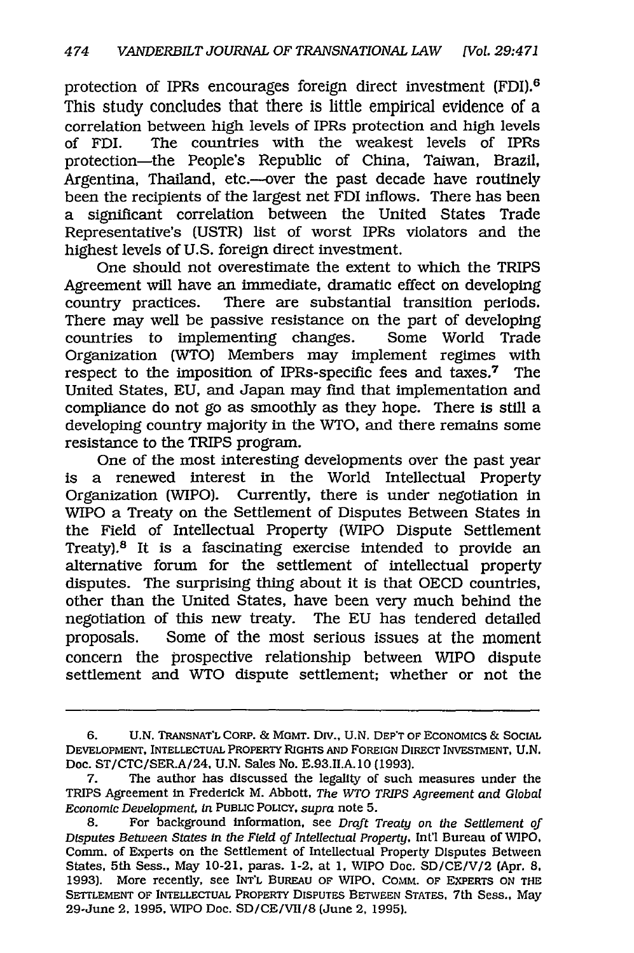protection of IPRs encourages foreign direct investment (FDI).6 This study concludes that there is little empirical evidence of a correlation between high levels of IPRs protection and high levels The countries with the weakest levels of IPRs protection-the People's Republic of China, Taiwan, Brazil, Argentina, Thailand, etc.--over the past decade have routinely been the recipients of the largest net FDI inflows. There has been a significant correlation between the United States Trade Representative's (USTR) list of worst IPRs violators and the highest levels of U.S. foreign direct investment.

One should not overestimate the extent to which the TRIPS Agreement will have an immediate, dramatic effect on developing country practices. There are substantial transition periods. There may well be passive resistance on the part of developing countries to implementing changes. Some World Trade Organization (WTO) Members may implement regimes with respect to the imposition of IPRs-specific fees and taxes.<sup>7</sup> The United States, EU, and Japan may find that implementation and compliance do not go as smoothly as they hope. There is still a developing country majority in the WTO, and there remains some resistance to the TRIPS program.

One of the most interesting developments over the past year is a renewed interest in the World Intellectual Property Organization (WIPO). Currently, there is under negotiation in WIPO a Treaty on the Settlement of Disputes Between States in the Field of Intellectual Property (WIPO Dispute Settlement Treaty).8 It is a fascinating exercise intended to provide an alternative forum for the settlement of intellectual property disputes. The surprising thing about it is that OECD countries, other than the United States, have been very much behind the negotiation of this new treaty. The EU has tendered detailed proposals. Some of the most serious issues at the moment concern the prospective relationship between WIPO dispute settlement and WTO dispute settlement; whether or not the

<sup>6.</sup> U.N. TRANSNAT'L CORP. *&* MGMT. Div., U.N. DEP'T OF ECONOMICS & SOCIAL DEVELOPMENT, INTELLECTUAL PROPERTY RIGHTS **AND** FOREIGN DIRECT INVESTMENT, U.N. Doc. ST/CTC/SER.A/24, U.N. Sales No. E.93.1I.A. **10** (1993).

<sup>7.</sup> The author has discussed the legality of such measures under the TRIPS Agreement in Frederick M. Abbott, *The WTO TRIPS Agreement and Global Economic Development, In* PUBLIC POLICY, *supra* note 5.

<sup>8.</sup> For background information, see *Draft Treaty on the Settlement of Disputes Between States In the Field of Intellectual Property,* Int'l Bureau of WIPO. Comm. of Experts on the Settlement of Intellectual Property Disputes Between States, 5th Sess., May 10-21, paras. 1-2, at **1,** WIPO Doc. SD/CE/V/2 (Apr. *8,* 1993). More recently, see INT'L BUREAU OF WIPO. COMM. OF EXPERTS *ON* THE SETTLEMENT OF INTELLECTUAL PROPERTY DISPUTES BETWEEN STATES, 7th Sess., May 29-June 2, 1995, WIPO Doc. SD/CE/VII/8 (June 2, 1995).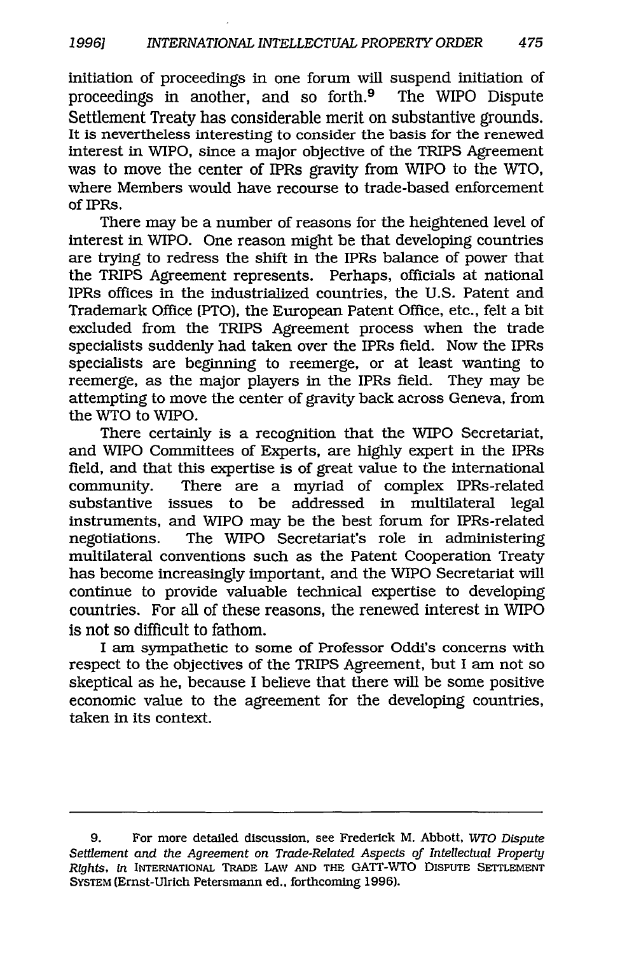initiation of proceedings in one forum will suspend initiation of proceedings in another, and so forth.9 The WIPO Dispute Settlement Treaty has considerable merit on substantive grounds. It is nevertheless interesting to consider the basis for the renewed interest in WIPO, since a major objective of the TRIPS Agreement was to move the center of IPRs gravity from WIPO to the WTO, where Members would have recourse to trade-based enforcement of IPRs.

There may be a number of reasons for the heightened level of interest in WIPO. One reason might be that developing countries are trying to redress the shift in the IPRs balance of power that the TRIPS Agreement represents. Perhaps, officials at national IPRs offices in the industrialized countries, the U.S. Patent and Trademark Office (PTO), the European Patent Office, etc., felt a bit excluded from the TRIPS Agreement process when the trade specialists suddenly had taken over the IPRs field. Now the IPRs specialists are beginning to reemerge, or at least wanting to reemerge, as the major players in the IPRs field. They may be attempting to move the center of gravity back across Geneva, from the WTO to WIPO.

There certainly is a recognition that the WIPO Secretariat, and WIPO Committees of Experts, are highly expert in the IPRs field, and that this expertise is of great value to the international community. There are a myriad of complex IPRs-related substantive issues to be addressed in multilateral legal instruments, and WIPO may be the best forum for IPRs-related negotiations. The WIPO Secretariat's role in administering multilateral conventions such as the Patent Cooperation Treaty has become increasingly important, and the WIPO Secretariat will continue to provide valuable technical expertise to developing countries. For all of these reasons, the renewed interest in WIPO is not so difficult to fathom.

I am sympathetic to some of Professor Oddi's concerns with respect to the objectives of the TRIPS Agreement, but I am not so skeptical as he, because I believe that there will be some positive economic value to the agreement for the developing countries, taken in its context.

<sup>9.</sup> For more detailed discussion, see Frederick M. Abbott, *WTO Dispute Settlement and the Agreement on Trade-Related Aspects of Intellectual Property Rights, In* INTERNATIONAL TRADE LAW AND THE GATT-WTO DISPUTE SETTLEMENT SYSTEM (Ernst-Ulrich Petersmann ed., forthcoming 1996).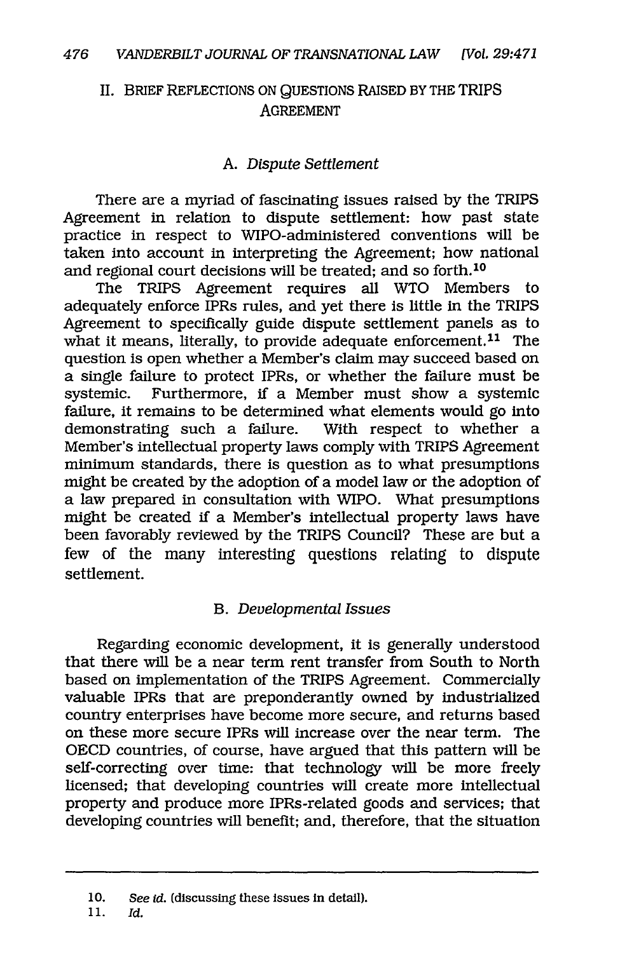### II. BRIEF REFLECTIONS ON QUESTIONS RAISED BY THE TRIPS AGREEMENT

### *A. Dispute Settlement*

There are a myriad of fascinating issues raised by the TRIPS Agreement in relation to dispute settlement: how past state practice in respect to WIPO-administered conventions will be taken into account in interpreting the Agreement; how national and regional court decisions will be treated; and so forth.<sup>10</sup>

The TRIPS Agreement requires all WTO Members to adequately enforce IPRs rules, and yet there is little in the TRIPS Agreement to specifically guide dispute settlement panels as to what it means, literally, to provide adequate enforcement.<sup>11</sup> The question is open whether a Member's claim may succeed based on a single failure to protect IPRs, or whether the failure must be systemic. Furthermore, if a Member must show a systemic Furthermore, if a Member must show a systemic failure, it remains to be determined what elements would go into demonstrating such a failure. With respect to whether a Member's intellectual property laws comply with TRIPS Agreement minimum standards, there is question as to what presumptions might be created by the adoption of a model law or the adoption of a law prepared in consultation with WIPO. What presumptions might be created if a Member's intellectual property laws have been favorably reviewed by the TRIPS Council? These are but a few of the many interesting questions relating to dispute settlement.

#### *B. Developmental Issues*

Regarding economic development, it is generally understood that there will be a near term rent transfer from South to North based on implementation of the TRIPS Agreement. Commercially valuable IPRs that are preponderantly owned by industrialized country enterprises have become more secure, and returns based on these more secure IPRs will increase over the near term. The OECD countries, of course, have argued that this pattern will be self-correcting over time: that technology will be more freely licensed; that developing countries will create more intellectual property and produce more IPRs-related goods and services; that developing countries will benefit; and, therefore, that the situation

11. Id.

<sup>10.</sup> *See id.* (discussing these issues in detail).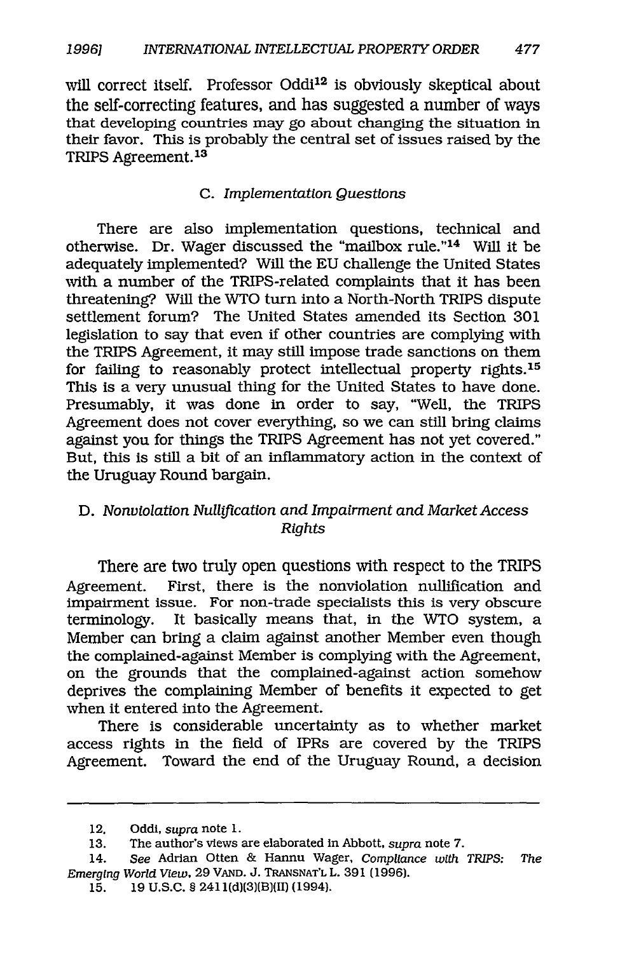will correct itself. Professor Oddi<sup>12</sup> is obviously skeptical about the self-correcting features, and has suggested a number of ways that developing countries may go about changing the situation in their favor. This is probably the central set of issues raised by the TRIPS Agreement.<sup>13</sup>

#### C. *Implementation Questions*

There are also implementation questions, technical and otherwise. Dr. Wager discussed the "mailbox rule."14 Will it be adequately implemented? Will the EU challenge the United States with a number of the TRIPS-related complaints that it has been threatening? Will the WTO turn into a North-North TRIPS dispute settlement forum? The United States amended its Section 301 legislation to say that even if other countries are complying with the TRIPS Agreement, it may still impose trade sanctions on them for failing to reasonably protect intellectual property rights.<sup>15</sup> This is a very unusual thing for the United States to have done. Presumably, it was done in order to say, "Well, the TRIPS Agreement does not cover everything, so we can still bring claims against you for things the TRIPS Agreement has not yet covered." But, this is still a bit of an inflammatory action in the context of the Uruguay Round bargain.

#### D. *Nonviolation Nullification and Impairment and Market Access Rights*

There are two truly open questions with respect to the TRIPS Agreement. First, there is the nonviolation nullification and impairment issue. For non-trade specialists this is very obscure terminology. It basically means that, in the WTO system, a Member can bring a claim against another Member even though the complained-against Member is complying with the Agreement, on the grounds that the complained-against action somehow deprives the complaining Member of benefits it expected to get when it entered into the Agreement.

There is considerable uncertainty as to whether market access rights in the field of IPRs are covered by the TRIPS Agreement. Toward the end of the Uruguay Round, a decision

<sup>12.</sup> Oddi, *supra* note 1.

<sup>13.</sup> The author's views are elaborated in Abbott, *supra* note 7.

<sup>14.</sup> *See* Adrian Otten & Hannu Wager, *Compliance with TRIPS: The Emerging World View.* 29 **VAND. J. TRANSNAT'L** L. 391 (1996).

**<sup>15. 19</sup> U.S.C. §** 241 l(d)(3)(B)(II) (1994).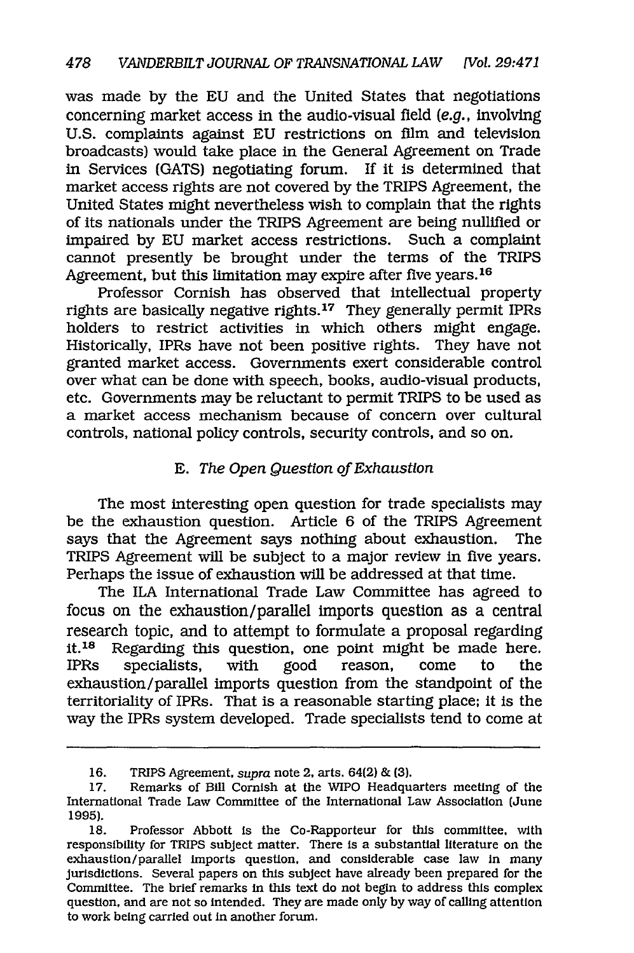was made by the EU and the United States that negotiations concerning market access in the audio-visual field *(e.g.,* involving U.S. complaints against EU restrictions on film and television broadcasts) would take place in the General Agreement on Trade in Services (GATS) negotiating forum. If it is determined that market access rights are not covered by the TRIPS Agreement, the United States might nevertheless wish to complain that the rights of its nationals under the TRIPS Agreement are being nullified or impaired by EU market access restrictions. Such a complaint cannot presently be brought under the terms of the TRIPS Agreement, but this limitation may expire after five years.<sup>16</sup>

Professor Cornish has observed that intellectual property rights are basically negative rights. 17 They generally permit IPRs holders to restrict activities in which others might engage. Historically, IPRs have not been positive rights. They have not granted market access. Governments exert considerable control over what can be done with speech, books, audio-visual products, etc. Governments may be reluctant to permit TRIPS to be used as a market access mechanism because of concern over cultural controls, national policy controls, security controls, and so on.

#### E. *The Open Question of Exhaustion*

The most interesting open question for trade specialists may be the exhaustion question. Article 6 of the TRIPS Agreement says that the Agreement says nothing about exhaustion. The TRIPS Agreement will be subject to a major review in five years. Perhaps the issue of exhaustion will be addressed at that time.

The ILA International Trade Law Committee has agreed to focus on the exhaustion/parallel imports question as a central research topic, and to attempt to formulate a proposal regarding it. 18 Regarding this question, one point might be made here. IPRs specialists, with good reason, come to the exhaustion/parallel imports question from the standpoint of the territoriality of IPRs. That is a reasonable starting place; it is the way the IPRs system developed. Trade specialists tend to come at

<sup>16.</sup> TRIPS Agreement, *supra* note 2, arts. 64(2) & (3).

<sup>17.</sup> Remarks of Bill Cornish at the WIPO Headquarters meeting of the International Trade Law Committee of the International Law Association (June 1995).

<sup>18.</sup> Professor Abbott is the Co-Rapporteur for this committee, with responsibility for TRIPS subject matter. There is a substantial literature on the exhaustion/parallel imports question, and considerable case law in many jurisdictions. Several papers on this subject have already been prepared for the Committee. The brief remarks in this text do not begin to address this complex question, and are not so Intended. They are made only by way of calling attention to work being carried out In another forum.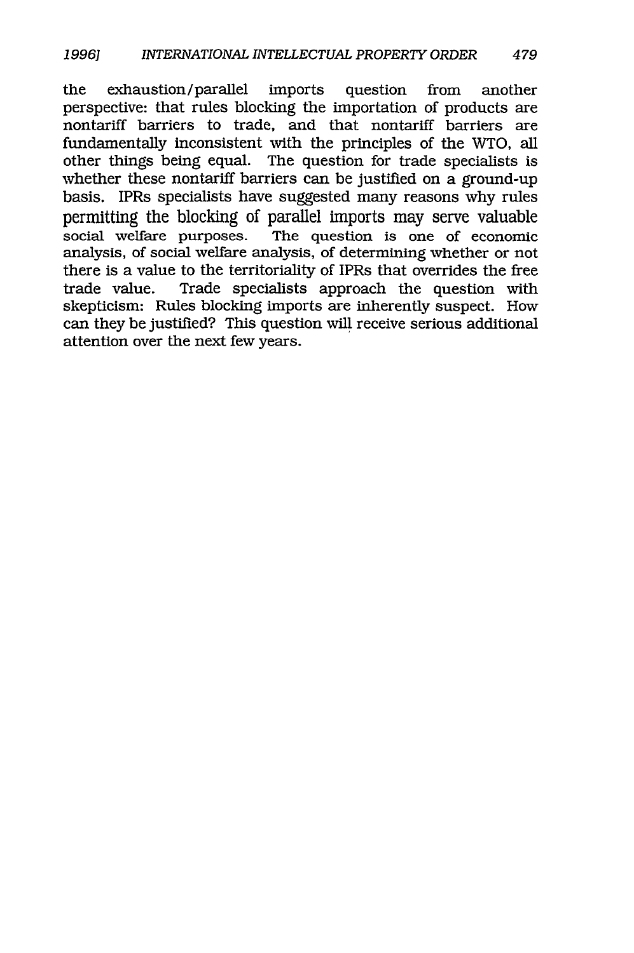the exhaustion/parallel imports question from another perspective: that rules blocking the importation of products are nontariff barriers to trade, and that nontariff barriers are fundamentally inconsistent with the principles of the WTO, all other things being equal. The question for trade specialists is whether these nontariff barriers can be justified on a ground-up basis. IPRs specialists have suggested many reasons why rules permitting the blocking of parallel imports may serve valuable<br>social welfare purposes. The question is one of economic The question is one of economic analysis, of social welfare analysis, of determining whether or not there is a value to the territoriality of IPRs that overrides the free trade value. Trade specialists approach the question with skepticism: Rules blocking imports are inherently suspect. How can they be justified? This question will receive serious additional attention over the next few years.